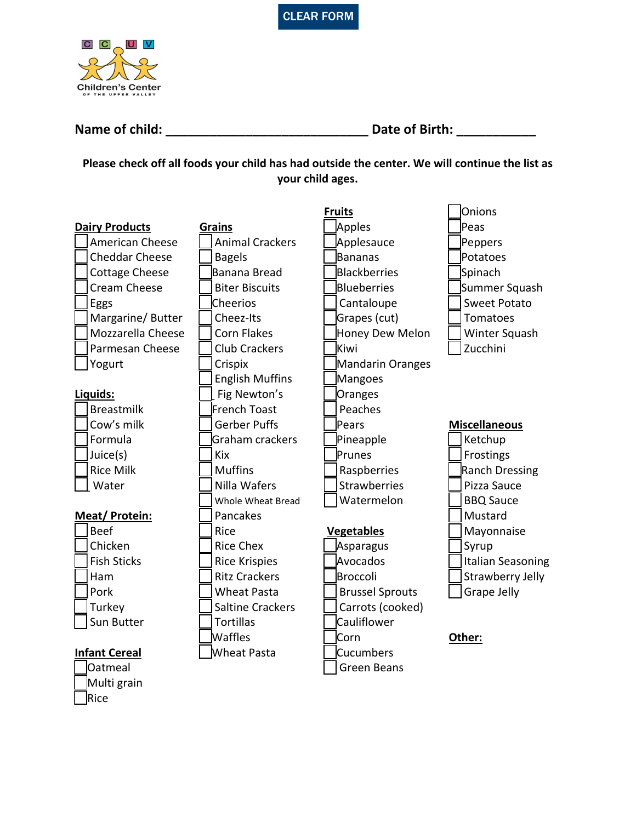



 $\overline{\phantom{a}}$ Rice

| <b>Name of child:</b> |  | Date of Birth: |  |
|-----------------------|--|----------------|--|
|-----------------------|--|----------------|--|

**Please check off all foods your child has had outside the center. We will continue the list as your child ages.**

|                        |                             | <b>Fruits</b>          | <b>Onions</b>           |
|------------------------|-----------------------------|------------------------|-------------------------|
| <b>Dairy Products</b>  | <b>Grains</b>               | Apples                 | Peas                    |
| <b>American Cheese</b> | <b>Animal Crackers</b>      | Applesauce             | Peppers                 |
| <b>Cheddar Cheese</b>  | <b>Bagels</b>               | Bananas                | Potatoes                |
| <b>Cottage Cheese</b>  | Banana Bread                | <b>Blackberries</b>    | Spinach                 |
| Cream Cheese           | <b>Biter Biscuits</b>       | Blueberries            | Summer Squash           |
| Eggs                   | Cheerios                    | Cantaloupe             | <b>Sweet Potato</b>     |
| Margarine/Butter       | Cheez-Its                   | Grapes (cut)           | Tomatoes                |
| Mozzarella Cheese      | <b>Corn Flakes</b>          | Honey Dew Melon        | Winter Squash           |
| Parmesan Cheese        | <b>Club Crackers</b>        | Kiwi                   | Zucchini                |
| Yogurt                 | Crispix<br>Mandarin Oranges |                        |                         |
|                        | <b>English Muffins</b>      | Mangoes                |                         |
| Liquids:               | Fig Newton's                | Oranges                |                         |
| <b>Breastmilk</b>      | French Toast                | Peaches                |                         |
| Cow's milk             | <b>Gerber Puffs</b>         | Pears                  | <b>Miscellaneous</b>    |
| Formula                | Graham crackers             | Pineapple              | Ketchup                 |
| Juice(s)               | <b>Kix</b>                  | Prunes                 | Frostings               |
| <b>Rice Milk</b>       | <b>Muffins</b>              | Raspberries            | <b>Ranch Dressing</b>   |
| Water                  | Nilla Wafers                | <b>Strawberries</b>    | Pizza Sauce             |
|                        | Whole Wheat Bread           | Watermelon             | <b>BBQ Sauce</b>        |
| Meat/Protein:          | Pancakes                    |                        | Mustard                 |
| <b>Beef</b>            | Rice                        | <b>Vegetables</b>      | Mayonnaise              |
| Chicken                | <b>Rice Chex</b>            | Asparagus              | Syrup                   |
| <b>Fish Sticks</b>     | <b>Rice Krispies</b>        | Avocados               | Italian Seasoning       |
| Ham                    | <b>Ritz Crackers</b>        | Broccoli               | <b>Strawberry Jelly</b> |
| Pork                   | <b>Wheat Pasta</b>          | <b>Brussel Sprouts</b> | <b>Grape Jelly</b>      |
| Turkey                 | <b>Saltine Crackers</b>     | Carrots (cooked)       |                         |
| Sun Butter             | <b>Tortillas</b>            | Cauliflower            |                         |
|                        | <b>Waffles</b>              | Corn                   | Other:                  |
| <b>Infant Cereal</b>   | Wheat Pasta                 | <b>Cucumbers</b>       |                         |
| Oatmeal                |                             | <b>Green Beans</b>     |                         |
| Multi grain            |                             |                        |                         |